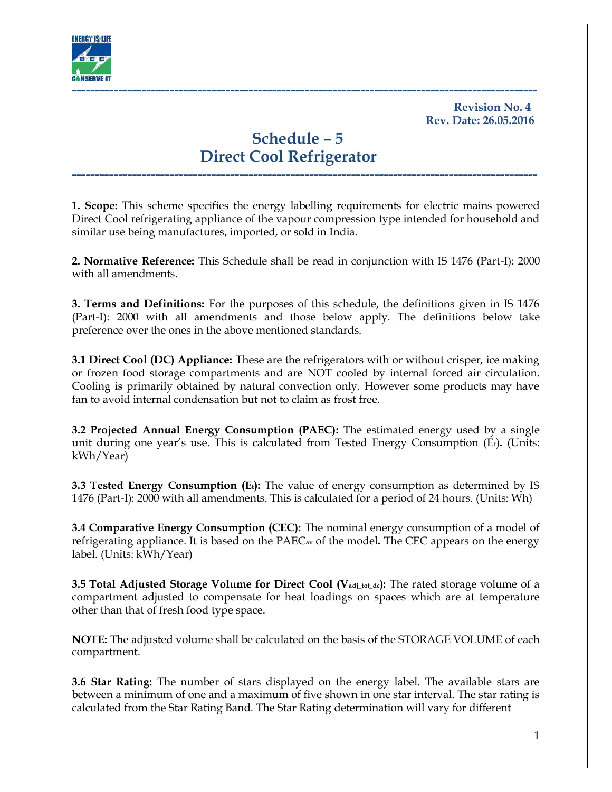

**Revision No. 4 Rev. Date: 26.05.2016**

# **Schedule – 5 Direct Cool Refrigerator**

**1. Scope:** This scheme specifies the energy labelling requirements for electric mains powered Direct Cool refrigerating appliance of the vapour compression type intended for household and similar use being manufactures, imported, or sold in India.

**----------------------------------------------------------------------------------------------------**

**2. Normative Reference:** This Schedule shall be read in conjunction with IS 1476 (Part-I): 2000 with all amendments.

**3. Terms and Definitions:** For the purposes of this schedule, the definitions given in IS 1476 (Part-I): 2000 with all amendments and those below apply. The definitions below take preference over the ones in the above mentioned standards.

**3.1 Direct Cool (DC) Appliance:** These are the refrigerators with or without crisper, ice making or frozen food storage compartments and are NOT cooled by internal forced air circulation. Cooling is primarily obtained by natural convection only. However some products may have fan to avoid internal condensation but not to claim as frost free.

**3.2 Projected Annual Energy Consumption (PAEC):** The estimated energy used by a single unit during one year's use. This is calculated from Tested Energy Consumption (E<sub>t</sub>). (Units: kWh/Year)

**3.3 Tested Energy Consumption (Et):** The value of energy consumption as determined by IS 1476 (Part-I): 2000 with all amendments. This is calculated for a period of 24 hours. (Units: Wh)

**3.4 Comparative Energy Consumption (CEC):** The nominal energy consumption of a model of refrigerating appliance. It is based on the PAECav of the model**.** The CEC appears on the energy label. (Units: kWh/Year)

**3.5 Total Adjusted Storage Volume for Direct Cool (Vadj\_tot\_dc):** The rated storage volume of a compartment adjusted to compensate for heat loadings on spaces which are at temperature other than that of fresh food type space.

**NOTE:** The adjusted volume shall be calculated on the basis of the STORAGE VOLUME of each compartment.

**3.6 Star Rating:** The number of stars displayed on the energy label. The available stars are between a minimum of one and a maximum of five shown in one star interval. The star rating is calculated from the Star Rating Band. The Star Rating determination will vary for different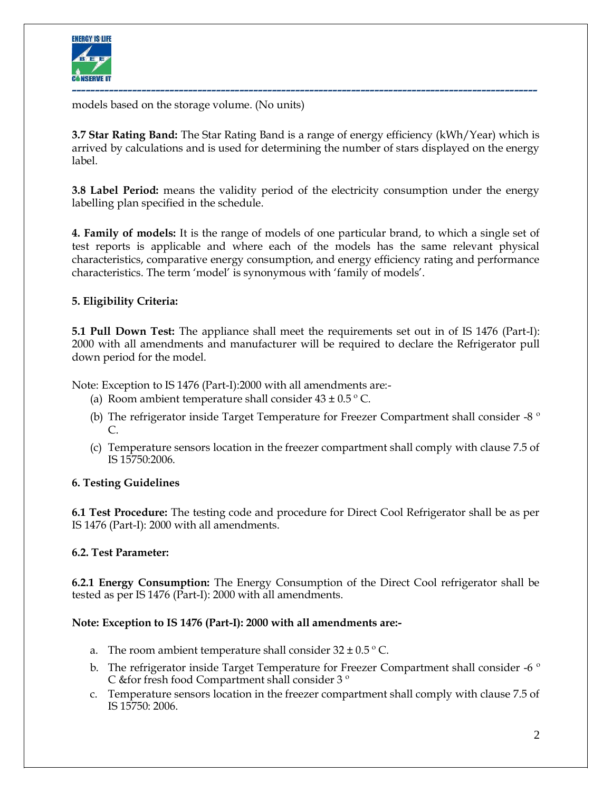

models based on the storage volume. (No units)

**3.7 Star Rating Band:** The Star Rating Band is a range of energy efficiency (kWh/Year) which is arrived by calculations and is used for determining the number of stars displayed on the energy label.

**3.8 Label Period:** means the validity period of the electricity consumption under the energy labelling plan specified in the schedule.

**4. Family of models:** It is the range of models of one particular brand, to which a single set of test reports is applicable and where each of the models has the same relevant physical characteristics, comparative energy consumption, and energy efficiency rating and performance characteristics. The term 'model' is synonymous with 'family of models'.

#### **5. Eligibility Criteria:**

**5.1 Pull Down Test:** The appliance shall meet the requirements set out in of IS 1476 (Part-I): 2000 with all amendments and manufacturer will be required to declare the Refrigerator pull down period for the model.

Note: Exception to IS 1476 (Part-I):2000 with all amendments are:-

- (a) Room ambient temperature shall consider  $43 \pm 0.5$  °C.
- (b) The refrigerator inside Target Temperature for Freezer Compartment shall consider -8  $\degree$ C.
- (c) Temperature sensors location in the freezer compartment shall comply with clause 7.5 of IS 15750:2006.

#### **6. Testing Guidelines**

**6.1 Test Procedure:** The testing code and procedure for Direct Cool Refrigerator shall be as per IS 1476 (Part-I): 2000 with all amendments.

#### **6.2. Test Parameter:**

**6.2.1 Energy Consumption:** The Energy Consumption of the Direct Cool refrigerator shall be tested as per IS 1476 (Part-I): 2000 with all amendments.

#### **Note: Exception to IS 1476 (Part-I): 2000 with all amendments are:-**

- a. The room ambient temperature shall consider  $32 \pm 0.5$  °C.
- b. The refrigerator inside Target Temperature for Freezer Compartment shall consider -6  $\degree$ C &for fresh food Compartment shall consider 3 º
- c. Temperature sensors location in the freezer compartment shall comply with clause 7.5 of IS 15750: 2006.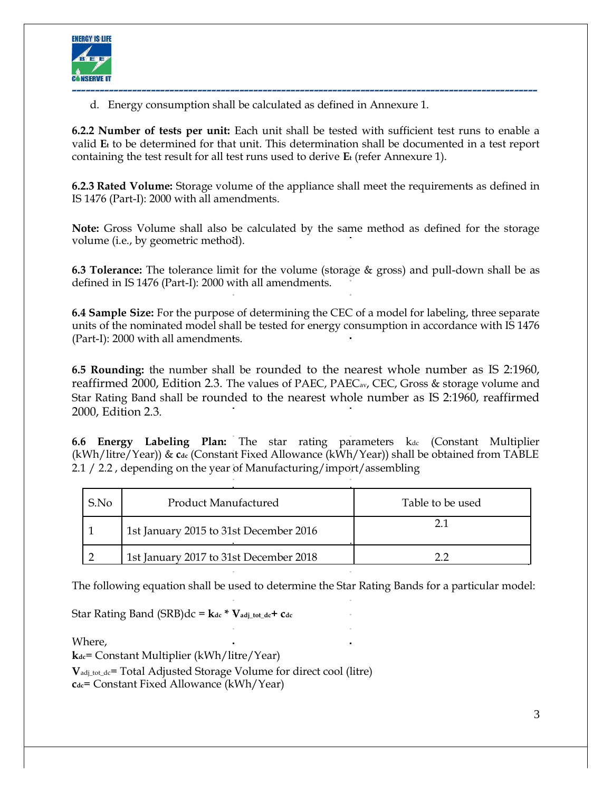

d. Energy consumption shall be calculated as defined in Annexure 1.

**6.2.2 Number of tests per unit:** Each unit shall be tested with sufficient test runs to enable a valid **E<sup>t</sup>** to be determined for that unit. This determination shall be documented in a test report containing the test result for all test runs used to derive **E<sup>t</sup>** (refer Annexure 1).

**6.2.3 Rated Volume:** Storage volume of the appliance shall meet the requirements as defined in IS 1476 (Part-I): 2000 with all amendments.

**Note:** Gross Volume shall also be calculated by the same method as defined for the storage volume (i.e., by geometric method).

**6.3 Tolerance:** The tolerance limit for the volume (storage & gross) and pull-down shall be as defined in IS 1476 (Part-I): 2000 with all amendments.

**6.4 Sample Size:** For the purpose of determining the CEC of a model for labeling, three separate units of the nominated model shall be tested for energy consumption in accordance with IS 1476 (Part-I): 2000 with all amendments.

**6.5 Rounding:** the number shall be rounded to the nearest whole number as IS 2:1960, reaffirmed 2000, Edition 2.3. The values of PAEC, PAEC<sub>av</sub>, CEC, Gross & storage volume and Star Rating Band shall be rounded to the nearest whole number as IS 2:1960, reaffirmed 2000, Edition 2.3.

**6.6 Energy Labeling Plan:** The star rating parameters kdc (Constant Multiplier (kWh/litre/Year)) & **cdc** (Constant Fixed Allowance (kWh/Year)) shall be obtained from TABLE 2.1 / 2.2, depending on the year of Manufacturing/import/assembling

| S.No | Product Manufactured                   | Table to be used |
|------|----------------------------------------|------------------|
|      | 1st January 2015 to 31st December 2016 |                  |
|      | 1st January 2017 to 31st December 2018 |                  |

The following equation shall be used to determine the Star Rating Bands for a particular model:

Star Rating Band  $(SRB)dc = \mathbf{k}$ dc<sup>\*</sup>  $\mathbf{V}_{adj\_tot\_dc} + \mathbf{C}_{dc}$ 

Where,

**kdc**= Constant Multiplier (kWh/litre/Year)

**V**adj\_tot\_dc= Total Adjusted Storage Volume for direct cool (litre) **cdc**= Constant Fixed Allowance (kWh/Year)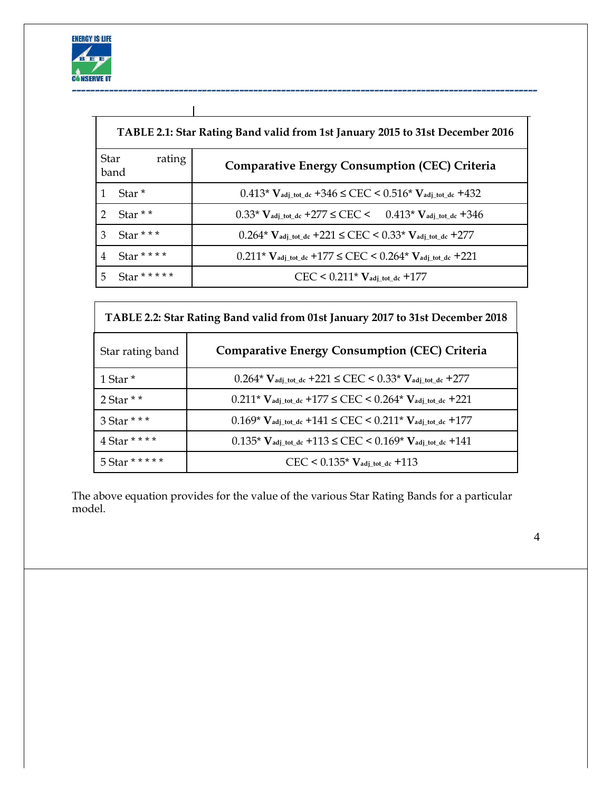

|               | TABLE 2.1: Star Rating Band valid from 1st January 2015 to 31st December 2016 |                                                                                                        |  |  |
|---------------|-------------------------------------------------------------------------------|--------------------------------------------------------------------------------------------------------|--|--|
| <b>Star</b>   | rating<br>band                                                                | <b>Comparative Energy Consumption (CEC) Criteria</b>                                                   |  |  |
|               | Star <sup>*</sup>                                                             | $0.413*$ $V_{\text{adj\_tot\_dc}} + 346 \leq CEC$ < $0.516*$ $V_{\text{adj\_tot\_dc}} + 432$           |  |  |
| $\mathcal{D}$ | Star $*$ $*$                                                                  | $0.33*$ V <sub>adj_tot_dc</sub> +277 $\leq$ CEC $\lt$ 0.413 <sup>*</sup> V <sub>adj_tot_dc</sub> +346  |  |  |
| 3             | Star ***                                                                      | $0.264*$ V <sub>adj_tot_dc</sub> +221 $\leq$ CEC $\leq$ 0.33 <sup>*</sup> V <sub>adj_tot_dc</sub> +277 |  |  |
| 4             | Star * * * *                                                                  | $0.211*$ Vadj_tot_dc +177 $\leq$ CEC $\leq$ 0.264* Vadj_tot_dc +221                                    |  |  |
| 5             | Star * * * * *                                                                | $CEC < 0.211*V_{\text{adj\_tot\_dc}} + 177$                                                            |  |  |

| TABLE 2.2: Star Rating Band valid from 01st January 2017 to 31st December 2018 |                                                                                                         |  |  |
|--------------------------------------------------------------------------------|---------------------------------------------------------------------------------------------------------|--|--|
| Star rating band                                                               | <b>Comparative Energy Consumption (CEC) Criteria</b>                                                    |  |  |
| 1 Star <sup>*</sup>                                                            | $0.264*$ $V_{\text{adj\_tot\_dc}}$ +221 $\leq$ CEC $\leq$ 0.33* $V_{\text{adj\_tot\_dc}}$ +277          |  |  |
| 2 Star $*$ $*$                                                                 | $0.211*$ V <sub>adj_tot_dc</sub> +177 $\leq$ CEC $\leq$ 0.264* V <sub>adj_tot_dc</sub> +221             |  |  |
| 3 Star * * *                                                                   | $0.169*$ V <sub>adj_tot_dc</sub> +141 $\leq$ CEC $\leq$ 0.211 <sup>*</sup> V <sub>adj_tot_dc</sub> +177 |  |  |
| 4 Star * * * *                                                                 | $0.135*$ V <sub>adj_tot_dc</sub> +113 $\leq$ CEC $\leq$ 0.169* V <sub>adj_tot_dc</sub> +141             |  |  |
| 5 Star * * * * *                                                               | $CEC < 0.135*$ $V_{\text{adj\_tot\_dc}} + 113$                                                          |  |  |

The above equation provides for the value of the various Star Rating Bands for a particular model.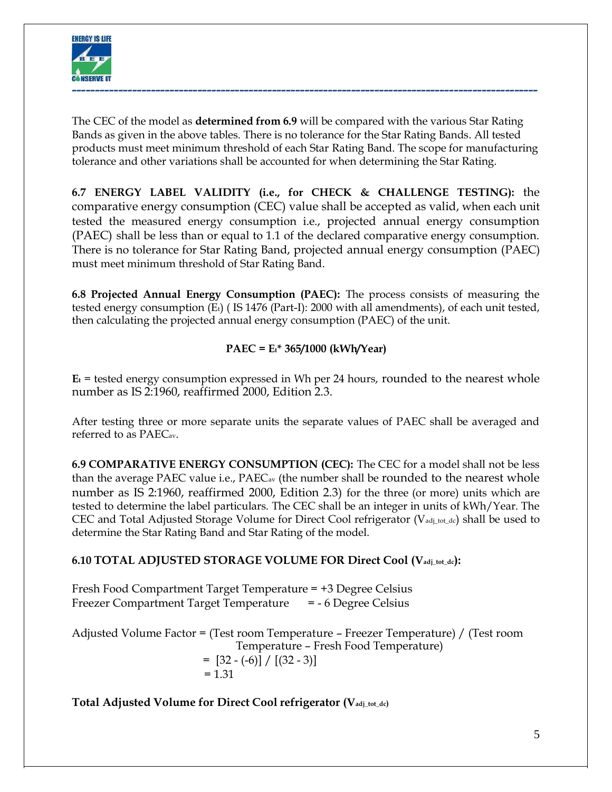

The CEC of the model as **determined from 6.9** will be compared with the various Star Rating Bands as given in the above tables. There is no tolerance for the Star Rating Bands. All tested products must meet minimum threshold of each Star Rating Band. The scope for manufacturing tolerance and other variations shall be accounted for when determining the Star Rating.

**6.7 ENERGY LABEL VALIDITY (i.e., for CHECK & CHALLENGE TESTING):** the comparative energy consumption (CEC) value shall be accepted as valid, when each unit tested the measured energy consumption i.e., projected annual energy consumption (PAEC) shall be less than or equal to 1.1 of the declared comparative energy consumption. There is no tolerance for Star Rating Band, projected annual energy consumption (PAEC) must meet minimum threshold of Star Rating Band.

**6.8 Projected Annual Energy Consumption (PAEC):** The process consists of measuring the tested energy consumption (Et) (IS 1476 (Part-I): 2000 with all amendments), of each unit tested, then calculating the projected annual energy consumption (PAEC) of the unit.

## **PAEC = Et\* 365/1000 (kWh/Year)**

 $E_t$  = tested energy consumption expressed in Wh per 24 hours, rounded to the nearest whole number as IS 2:1960, reaffirmed 2000, Edition 2.3.

After testing three or more separate units the separate values of PAEC shall be averaged and referred to as PAECav.

**6.9 COMPARATIVE ENERGY CONSUMPTION (CEC):** The CEC for a model shall not be less than the average PAEC value i.e., PAEC<sub>av</sub> (the number shall be rounded to the nearest whole number as IS 2:1960, reaffirmed 2000, Edition 2.3) for the three (or more) units which are tested to determine the label particulars. The CEC shall be an integer in units of kWh/Year. The CEC and Total Adjusted Storage Volume for Direct Cool refrigerator ( $V_{\text{adj.}tot\_dc}$ ) shall be used to determine the Star Rating Band and Star Rating of the model.

# **6.10 TOTAL ADJUSTED STORAGE VOLUME FOR Direct Cool (Vadj\_tot\_dc):**

Fresh Food Compartment Target Temperature = +3 Degree Celsius Freezer Compartment Target Temperature = - 6 Degree Celsius

Adjusted Volume Factor = (Test room Temperature – Freezer Temperature) / (Test room Temperature – Fresh Food Temperature)  $=$  [32 - (-6)] / [(32 - 3)]  $= 1.31$ 

**Total Adjusted Volume for Direct Cool refrigerator (Vadj\_tot\_dc)**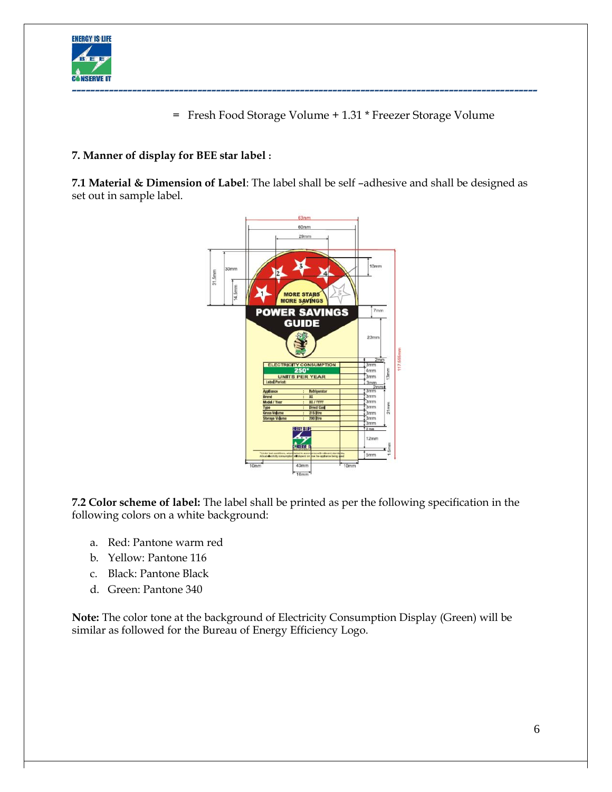

= Fresh Food Storage Volume + 1.31 \* Freezer Storage Volume

## **7. Manner of display for BEE star label :**

**7.1 Material & Dimension of Label**: The label shall be self –adhesive and shall be designed as set out in sample label.



**7.2 Color scheme of label:** The label shall be printed as per the following specification in the following colors on a white background:

- a. Red: Pantone warm red
- b. Yellow: Pantone 116
- c. Black: Pantone Black
- d. Green: Pantone 340

**Note:** The color tone at the background of Electricity Consumption Display (Green) will be similar as followed for the Bureau of Energy Efficiency Logo.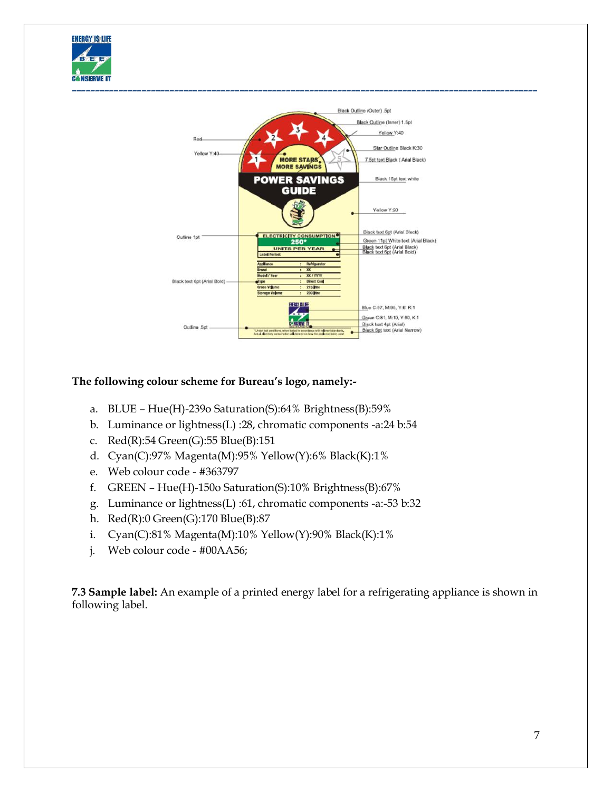



## **The following colour scheme for Bureau's logo, namely:-**

- a. BLUE Hue(H)-239o Saturation(S):64% Brightness(B):59%
- b. Luminance or lightness(L) :28, chromatic components -a:24 b:54
- c. Red(R):54 Green(G):55 Blue(B):151
- d. Cyan(C):97% Magenta(M):95% Yellow(Y):6% Black(K):1%
- e. Web colour code #363797
- f. GREEN Hue(H)-150o Saturation(S):10% Brightness(B):67%
- g. Luminance or lightness(L) :61, chromatic components -a:-53 b:32
- h. Red(R):0 Green(G):170 Blue(B):87
- i. Cyan(C):81% Magenta(M):10% Yellow(Y):90% Black(K):1%
- j. Web colour code #00AA56;

**7.3 Sample label:** An example of a printed energy label for a refrigerating appliance is shown in following label.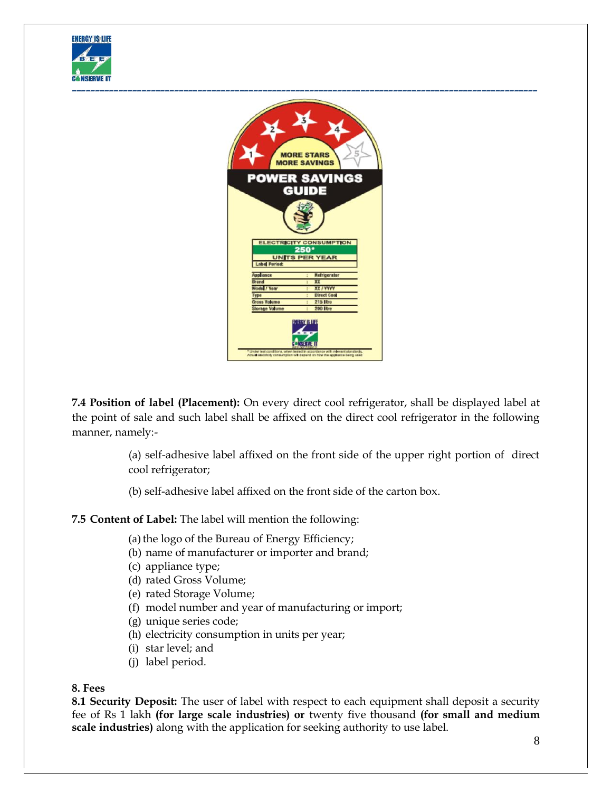



**7.4 Position of label (Placement):** On every direct cool refrigerator, shall be displayed label at the point of sale and such label shall be affixed on the direct cool refrigerator in the following manner, namely:-

> (a) self-adhesive label affixed on the front side of the upper right portion of direct cool refrigerator;

(b) self-adhesive label affixed on the front side of the carton box.

#### **7.5 Content of Label:** The label will mention the following:

(a) the logo of the Bureau of Energy Efficiency;

- (b) name of manufacturer or importer and brand;
- (c) appliance type;
- (d) rated Gross Volume;
- (e) rated Storage Volume;
- (f) model number and year of manufacturing or import;
- (g) unique series code;
- (h) electricity consumption in units per year;
- (i) star level; and
- (j) label period.

#### **8. Fees**

**8.1 Security Deposit:** The user of label with respect to each equipment shall deposit a security fee of Rs 1 lakh **(for large scale industries) or** twenty five thousand **(for small and medium scale industries)** along with the application for seeking authority to use label.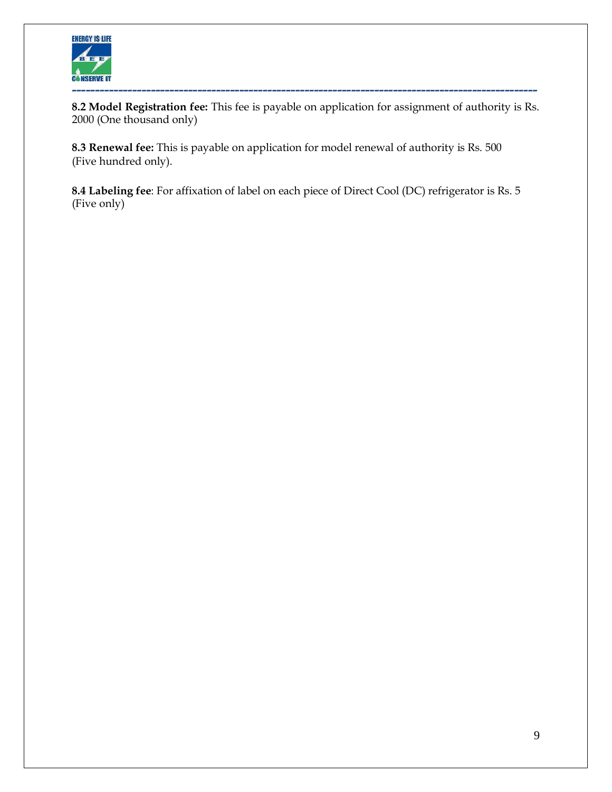

**8.2 Model Registration fee:** This fee is payable on application for assignment of authority is Rs. 2000 (One thousand only)

**8.3 Renewal fee:** This is payable on application for model renewal of authority is Rs. 500 (Five hundred only).

**8.4 Labeling fee**: For affixation of label on each piece of Direct Cool (DC) refrigerator is Rs. 5 (Five only)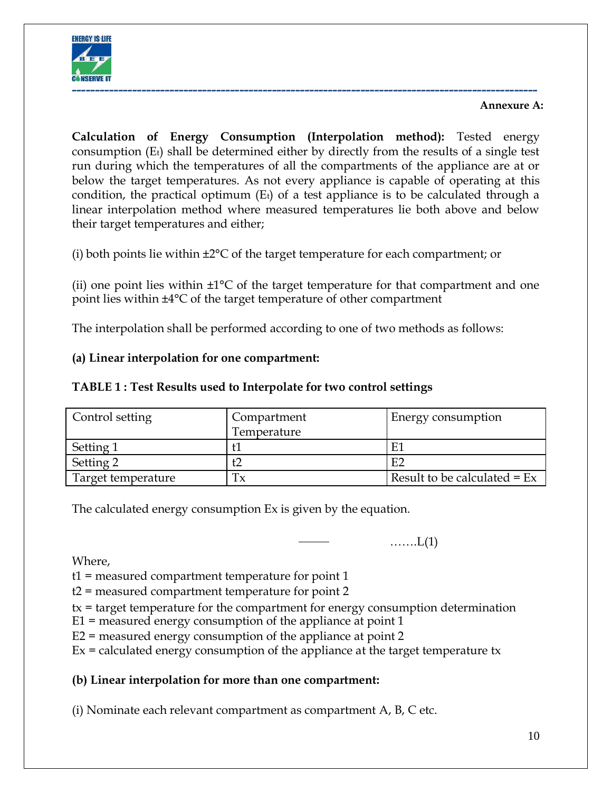

## **Annexure A:**

**Calculation of Energy Consumption (Interpolation method):** Tested energy consumption (Et) shall be determined either by directly from the results of a single test run during which the temperatures of all the compartments of the appliance are at or below the target temperatures. As not every appliance is capable of operating at this condition, the practical optimum  $(E_t)$  of a test appliance is to be calculated through a linear interpolation method where measured temperatures lie both above and below their target temperatures and either;

(i) both points lie within ±2°C of the target temperature for each compartment; or

(ii) one point lies within  $\pm 1^{\circ}C$  of the target temperature for that compartment and one point lies within ±4°C of the target temperature of other compartment

The interpolation shall be performed according to one of two methods as follows:

## **(a) Linear interpolation for one compartment:**

## **TABLE 1 : Test Results used to Interpolate for two control settings**

| Control setting    | Compartment | Energy consumption             |
|--------------------|-------------|--------------------------------|
|                    | Temperature |                                |
| Setting 1          |             | E                              |
| Setting 2          | t2          | - EC                           |
| Target temperature | Тx          | Result to be calculated = $Ex$ |

The calculated energy consumption Ex is given by the equation.

…….L(1)

Where,

t1 = measured compartment temperature for point 1

- t2 = measured compartment temperature for point 2
- tx = target temperature for the compartment for energy consumption determination
- E1 = measured energy consumption of the appliance at point 1
- E2 = measured energy consumption of the appliance at point 2
- $Ex =$  calculated energy consumption of the appliance at the target temperature tx

# **(b) Linear interpolation for more than one compartment:**

(i) Nominate each relevant compartment as compartment A, B, C etc.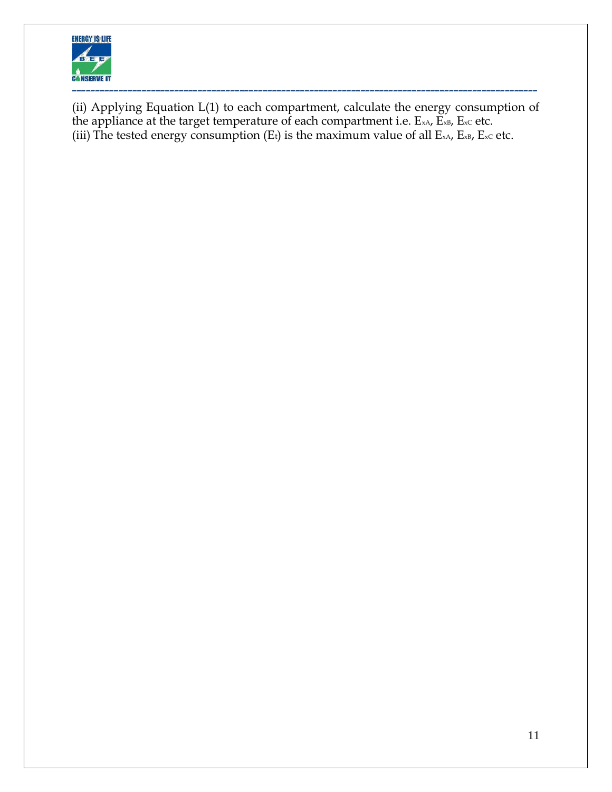

(ii) Applying Equation L(1) to each compartment, calculate the energy consumption of the appliance at the target temperature of each compartment i.e.  $E_{xA}$ ,  $\widetilde{E}_{xB}$ ,  $E_{xc}$  etc. (iii) The tested energy consumption (Et) is the maximum value of all  $E_{xA}$ ,  $E_{xB}$ ,  $E_{xc}$  etc.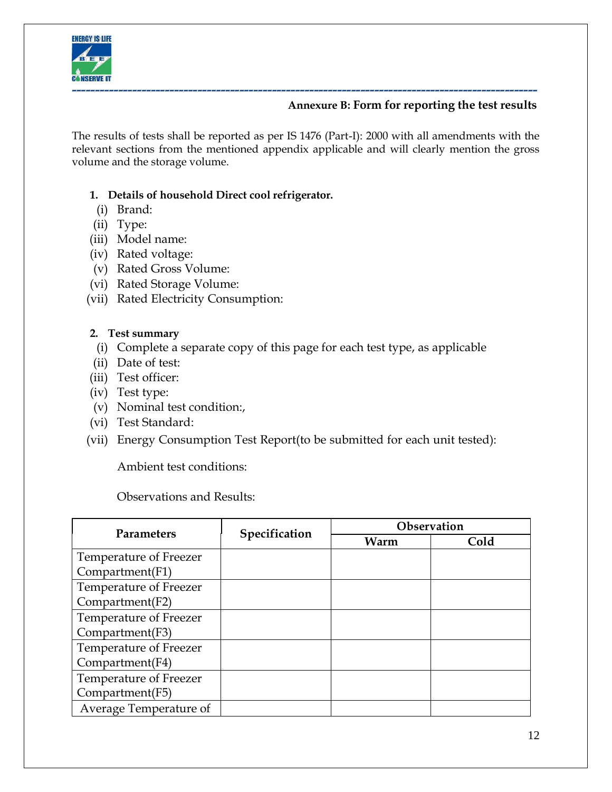

## **Annexure B: Form for reporting the test results**

The results of tests shall be reported as per IS 1476 (Part-I): 2000 with all amendments with the relevant sections from the mentioned appendix applicable and will clearly mention the gross volume and the storage volume.

## **1. Details of household Direct cool refrigerator.**

- (i) Brand:
- (ii) Type:
- (iii) Model name:
- (iv) Rated voltage:
- (v) Rated Gross Volume:
- (vi) Rated Storage Volume:
- (vii) Rated Electricity Consumption:

## **2. Test summary**

- (i) Complete a separate copy of this page for each test type, as applicable
- (ii) Date of test:
- (iii) Test officer:
- (iv) Test type:
- (v) Nominal test condition:,
- (vi) Test Standard:
- (vii) Energy Consumption Test Report(to be submitted for each unit tested):

Ambient test conditions:

## Observations and Results:

|                        | Specification | Observation |      |
|------------------------|---------------|-------------|------|
| <b>Parameters</b>      |               | Warm        | Cold |
| Temperature of Freezer |               |             |      |
| Compartment(F1)        |               |             |      |
| Temperature of Freezer |               |             |      |
| Compartment(F2)        |               |             |      |
| Temperature of Freezer |               |             |      |
| Compartment(F3)        |               |             |      |
| Temperature of Freezer |               |             |      |
| Compartment(F4)        |               |             |      |
| Temperature of Freezer |               |             |      |
| Compartment(F5)        |               |             |      |
| Average Temperature of |               |             |      |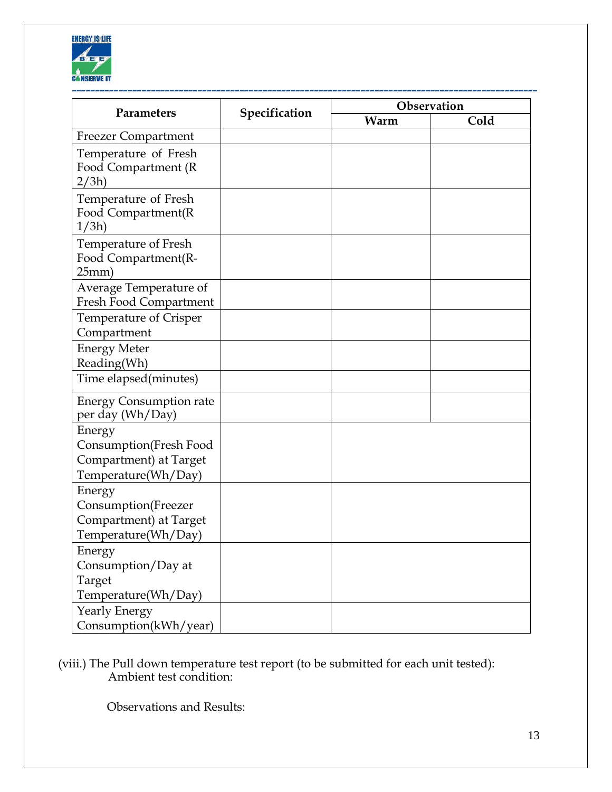

|                                                                                   |               |      | Observation |  |
|-----------------------------------------------------------------------------------|---------------|------|-------------|--|
| Parameters                                                                        | Specification | Warm | Cold        |  |
| <b>Freezer Compartment</b>                                                        |               |      |             |  |
| Temperature of Fresh<br>Food Compartment (R<br>2/3h)                              |               |      |             |  |
| Temperature of Fresh<br>Food Compartment(R<br>1/3h                                |               |      |             |  |
| Temperature of Fresh<br>Food Compartment(R-<br>25mm)                              |               |      |             |  |
| Average Temperature of<br>Fresh Food Compartment                                  |               |      |             |  |
| Temperature of Crisper<br>Compartment                                             |               |      |             |  |
| <b>Energy Meter</b><br>Reading(Wh)                                                |               |      |             |  |
| Time elapsed(minutes)                                                             |               |      |             |  |
| <b>Energy Consumption rate</b><br>per day (Wh/Day)                                |               |      |             |  |
| Energy<br>Consumption(Fresh Food<br>Compartment) at Target<br>Temperature(Wh/Day) |               |      |             |  |
| Energy<br>Consumption(Freezer<br>Compartment) at Target<br>Temperature(Wh/Day)    |               |      |             |  |
| Energy<br>Consumption/Day at<br>Target<br>Temperature(Wh/Day)                     |               |      |             |  |
| Yearly Energy<br>Consumption(kWh/year)                                            |               |      |             |  |

## (viii.) The Pull down temperature test report (to be submitted for each unit tested): Ambient test condition:

Observations and Results: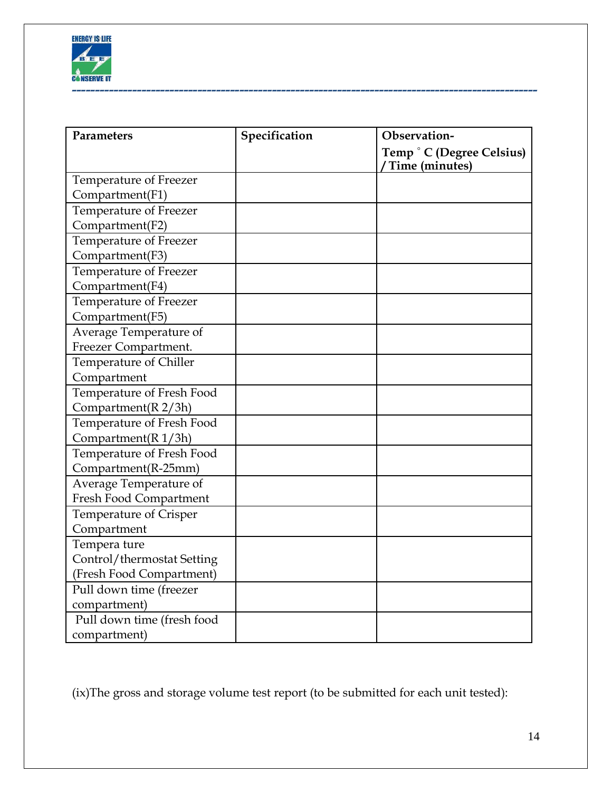

| Parameters                 | Specification | Observation-                                |  |
|----------------------------|---------------|---------------------------------------------|--|
|                            |               | Temp ° C (Degree Celsius)<br>Time (minutes) |  |
| Temperature of Freezer     |               |                                             |  |
| Compartment(F1)            |               |                                             |  |
| Temperature of Freezer     |               |                                             |  |
| Compartment(F2)            |               |                                             |  |
| Temperature of Freezer     |               |                                             |  |
| Compartment(F3)            |               |                                             |  |
| Temperature of Freezer     |               |                                             |  |
| Compartment(F4)            |               |                                             |  |
| Temperature of Freezer     |               |                                             |  |
| Compartment(F5)            |               |                                             |  |
| Average Temperature of     |               |                                             |  |
| Freezer Compartment.       |               |                                             |  |
| Temperature of Chiller     |               |                                             |  |
| Compartment                |               |                                             |  |
| Temperature of Fresh Food  |               |                                             |  |
| Compartment( $R$ 2/3h)     |               |                                             |  |
| Temperature of Fresh Food  |               |                                             |  |
| Compartment( $R$ 1/3h)     |               |                                             |  |
| Temperature of Fresh Food  |               |                                             |  |
| Compartment(R-25mm)        |               |                                             |  |
| Average Temperature of     |               |                                             |  |
| Fresh Food Compartment     |               |                                             |  |
| Temperature of Crisper     |               |                                             |  |
| Compartment                |               |                                             |  |
| Tempera ture               |               |                                             |  |
| Control/thermostat Setting |               |                                             |  |
| (Fresh Food Compartment)   |               |                                             |  |
| Pull down time (freezer    |               |                                             |  |
| compartment)               |               |                                             |  |
| Pull down time (fresh food |               |                                             |  |
| compartment)               |               |                                             |  |

(ix)The gross and storage volume test report (to be submitted for each unit tested):